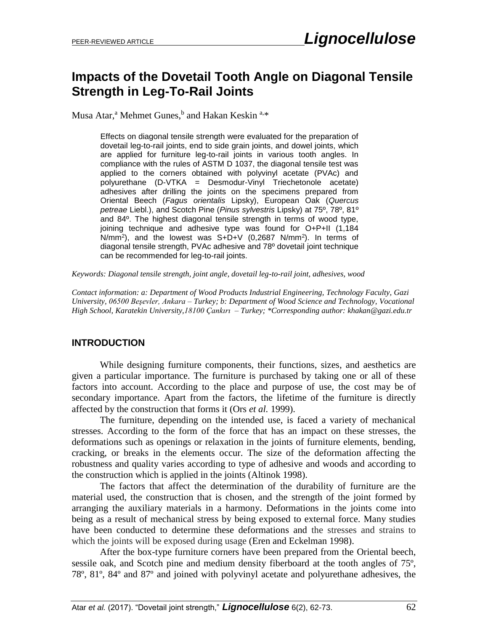# **Impacts of the Dovetail Tooth Angle on Diagonal Tensile Strength in Leg-To-Rail Joints**

Musa Atar,<sup>a</sup> Mehmet Gunes,<sup>b</sup> and Hakan Keskin <sup>a,\*</sup>

Effects on diagonal tensile strength were evaluated for the preparation of dovetail leg-to-rail joints, end to side grain joints, and dowel joints, which are applied for furniture leg-to-rail joints in various tooth angles. In compliance with the rules of ASTM D 1037, the diagonal tensile test was applied to the corners obtained with polyvinyl acetate (PVAc) and polyurethane (D-VTKA = Desmodur-Vinyl Triechetonole acetate) adhesives after drilling the joints on the specimens prepared from Oriental Beech (*Fagus orientalis* Lipsky), European Oak (*Quercus petreae* Liebl.), and Scotch Pine (*Pinus sylvestris* Lipsky) at 75º, 78º, 81º and 84º. The highest diagonal tensile strength in terms of wood type, joining technique and adhesive type was found for O+P+II (1,184 N/mm<sup>2</sup> ), and the lowest was S+D+V (0,2687 N/mm<sup>2</sup> ). In terms of diagonal tensile strength, PVAc adhesive and 78º dovetail joint technique can be recommended for leg-to-rail joints.

*Keywords: Diagonal tensile strength, joint angle, dovetail leg-to-rail joint, adhesives, wood*

*Contact information: a: Department of Wood Products Industrial Engineering, Technology Faculty, Gazi University, 06500 Beşevler, Ankara – Turkey; b: Department of Wood Science and Technology, Vocational High School, Karatekin University,18100 Çankırı – Turkey; \*Corresponding author: [khakan@gazi.edu.tr](mailto:khakan@gazi.edu.tr)*

# **INTRODUCTION**

While designing furniture components, their functions, sizes, and aesthetics are given a particular importance. The furniture is purchased by taking one or all of these factors into account. According to the place and purpose of use, the cost may be of secondary importance. Apart from the factors, the lifetime of the furniture is directly affected by the construction that forms it (Ors *et al.* 1999).

The furniture, depending on the intended use, is faced a variety of mechanical stresses. According to the form of the force that has an impact on these stresses, the deformations such as openings or relaxation in the joints of furniture elements, bending, cracking, or breaks in the elements occur. The size of the deformation affecting the robustness and quality varies according to type of adhesive and woods and according to the construction which is applied in the joints (Altinok 1998).

The factors that affect the determination of the durability of furniture are the material used, the construction that is chosen, and the strength of the joint formed by arranging the auxiliary materials in a harmony. Deformations in the joints come into being as a result of mechanical stress by being exposed to external force. Many studies have been conducted to determine these deformations and the stresses and strains to which the joints will be exposed during usage (Eren and Eckelman 1998).

After the box-type furniture corners have been prepared from the Oriental beech, sessile oak, and Scotch pine and medium density fiberboard at the tooth angles of 75º, 78º, 81º, 84º and 87º and joined with polyvinyl acetate and polyurethane adhesives, the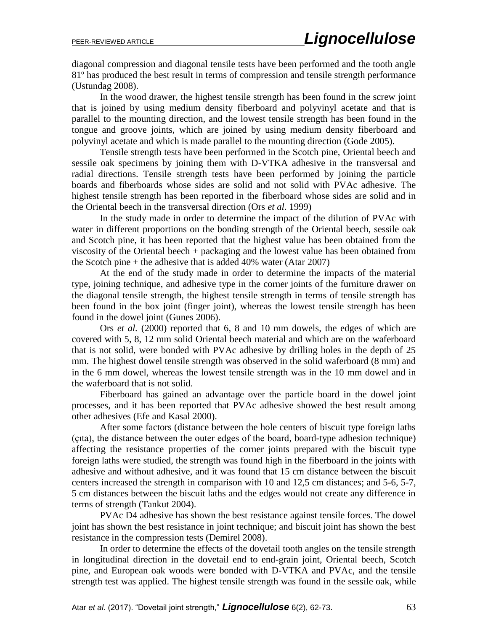diagonal compression and diagonal tensile tests have been performed and the tooth angle 81º has produced the best result in terms of compression and tensile strength performance (Ustundag 2008).

In the wood drawer, the highest tensile strength has been found in the screw joint that is joined by using medium density fiberboard and polyvinyl acetate and that is parallel to the mounting direction, and the lowest tensile strength has been found in the tongue and groove joints, which are joined by using medium density fiberboard and polyvinyl acetate and which is made parallel to the mounting direction (Gode 2005).

Tensile strength tests have been performed in the Scotch pine, Oriental beech and sessile oak specimens by joining them with D-VTKA adhesive in the transversal and radial directions. Tensile strength tests have been performed by joining the particle boards and fiberboards whose sides are solid and not solid with PVAc adhesive. The highest tensile strength has been reported in the fiberboard whose sides are solid and in the Oriental beech in the transversal direction (Ors *et al.* 1999)

In the study made in order to determine the impact of the dilution of PVAc with water in different proportions on the bonding strength of the Oriental beech, sessile oak and Scotch pine, it has been reported that the highest value has been obtained from the viscosity of the Oriental beech + packaging and the lowest value has been obtained from the Scotch pine + the adhesive that is added 40% water (Atar 2007)

At the end of the study made in order to determine the impacts of the material type, joining technique, and adhesive type in the corner joints of the furniture drawer on the diagonal tensile strength, the highest tensile strength in terms of tensile strength has been found in the box joint (finger joint), whereas the lowest tensile strength has been found in the dowel joint (Gunes 2006).

Ors *et al.* (2000) reported that 6, 8 and 10 mm dowels, the edges of which are covered with 5, 8, 12 mm solid Oriental beech material and which are on the waferboard that is not solid, were bonded with PVAc adhesive by drilling holes in the depth of 25 mm. The highest dowel tensile strength was observed in the solid waferboard (8 mm) and in the 6 mm dowel, whereas the lowest tensile strength was in the 10 mm dowel and in the waferboard that is not solid.

Fiberboard has gained an advantage over the particle board in the dowel joint processes, and it has been reported that PVAc adhesive showed the best result among other adhesives (Efe and Kasal 2000).

After some factors (distance between the hole centers of biscuit type foreign laths (çıta), the distance between the outer edges of the board, board-type adhesion technique) affecting the resistance properties of the corner joints prepared with the biscuit type foreign laths were studied, the strength was found high in the fiberboard in the joints with adhesive and without adhesive, and it was found that 15 cm distance between the biscuit centers increased the strength in comparison with 10 and 12,5 cm distances; and 5-6, 5-7, 5 cm distances between the biscuit laths and the edges would not create any difference in terms of strength (Tankut 2004).

PVAc D4 adhesive has shown the best resistance against tensile forces. The dowel joint has shown the best resistance in joint technique; and biscuit joint has shown the best resistance in the compression tests (Demirel 2008).

In order to determine the effects of the dovetail tooth angles on the tensile strength in longitudinal direction in the dovetail end to end-grain joint, Oriental beech, Scotch pine, and European oak woods were bonded with D-VTKA and PVAc, and the tensile strength test was applied. The highest tensile strength was found in the sessile oak, while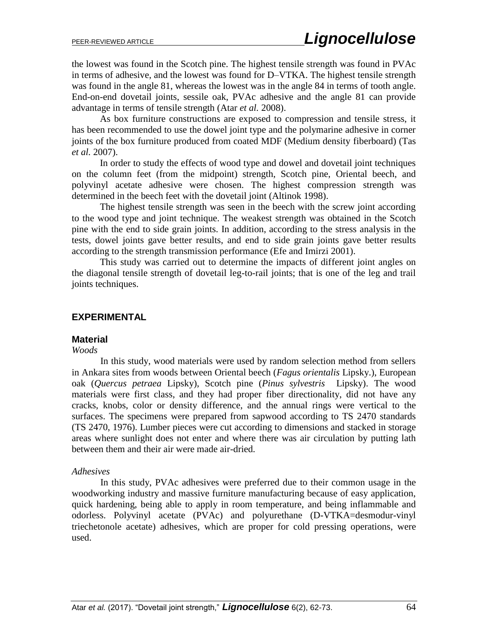the lowest was found in the Scotch pine. The highest tensile strength was found in PVAc in terms of adhesive, and the lowest was found for D–VTKA. The highest tensile strength was found in the angle 81, whereas the lowest was in the angle 84 in terms of tooth angle. End-on-end dovetail joints, sessile oak, PVAc adhesive and the angle 81 can provide advantage in terms of tensile strength (Atar *et al.* 2008).

As box furniture constructions are exposed to compression and tensile stress, it has been recommended to use the dowel joint type and the polymarine adhesive in corner joints of the box furniture produced from coated MDF (Medium density fiberboard) (Tas *et al.* 2007).

In order to study the effects of wood type and dowel and dovetail joint techniques on the column feet (from the midpoint) strength, Scotch pine, Oriental beech, and polyvinyl acetate adhesive were chosen. The highest compression strength was determined in the beech feet with the dovetail joint (Altinok 1998).

The highest tensile strength was seen in the beech with the screw joint according to the wood type and joint technique. The weakest strength was obtained in the Scotch pine with the end to side grain joints. In addition, according to the stress analysis in the tests, dowel joints gave better results, and end to side grain joints gave better results according to the strength transmission performance (Efe and Imirzi 2001).

This study was carried out to determine the impacts of different joint angles on the diagonal tensile strength of dovetail leg-to-rail joints; that is one of the leg and trail joints techniques.

#### **EXPERIMENTAL**

#### **Material**

#### *Woods*

In this study, wood materials were used by random selection method from sellers in Ankara sites from woods between Oriental beech (*Fagus orientalis* Lipsky.), European oak (*Quercus petraea* Lipsky), Scotch pine (*Pinus sylvestris* Lipsky). The wood materials were first class, and they had proper fiber directionality, did not have any cracks, knobs, color or density difference, and the annual rings were vertical to the surfaces. The specimens were prepared from sapwood according to TS 2470 standards (TS 2470, 1976). Lumber pieces were cut according to dimensions and stacked in storage areas where sunlight does not enter and where there was air circulation by putting lath between them and their air were made air-dried.

#### *Adhesives*

In this study, PVAc adhesives were preferred due to their common usage in the woodworking industry and massive furniture manufacturing because of easy application, quick hardening, being able to apply in room temperature, and being inflammable and odorless. Polyvinyl acetate (PVAc) and polyurethane (D-VTKA=desmodur-vinyl triechetonole acetate) adhesives, which are proper for cold pressing operations, were used.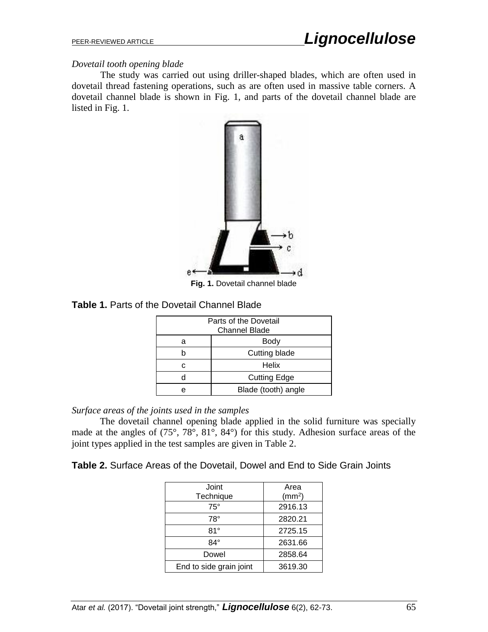## *Dovetail tooth opening blade*

The study was carried out using driller-shaped blades, which are often used in dovetail thread fastening operations, such as are often used in massive table corners. A dovetail channel blade is shown in Fig. 1, and parts of the dovetail channel blade are listed in Fig. 1.



**Fig. 1.** Dovetail channel blade

## **Table 1.** Parts of the Dovetail Channel Blade

| Parts of the Dovetail<br><b>Channel Blade</b> |                     |  |  |
|-----------------------------------------------|---------------------|--|--|
| а                                             | Body                |  |  |
|                                               | Cutting blade       |  |  |
| r.                                            | Helix               |  |  |
|                                               | <b>Cutting Edge</b> |  |  |
| e                                             | Blade (tooth) angle |  |  |

#### *Surface areas of the joints used in the samples*

The dovetail channel opening blade applied in the solid furniture was specially made at the angles of (75°, 78°, 81°, 84°) for this study. Adhesion surface areas of the joint types applied in the test samples are given in Table 2.

## **Table 2.** Surface Areas of the Dovetail, Dowel and End to Side Grain Joints

| Joint                   | Area               |  |
|-------------------------|--------------------|--|
| Technique               | (mm <sup>2</sup> ) |  |
| $75^{\circ}$            | 2916.13            |  |
| $78^\circ$              | 2820.21            |  |
| $81^\circ$              | 2725.15            |  |
| 84°                     | 2631.66            |  |
| Dowel                   | 2858.64            |  |
| End to side grain joint | 3619.30            |  |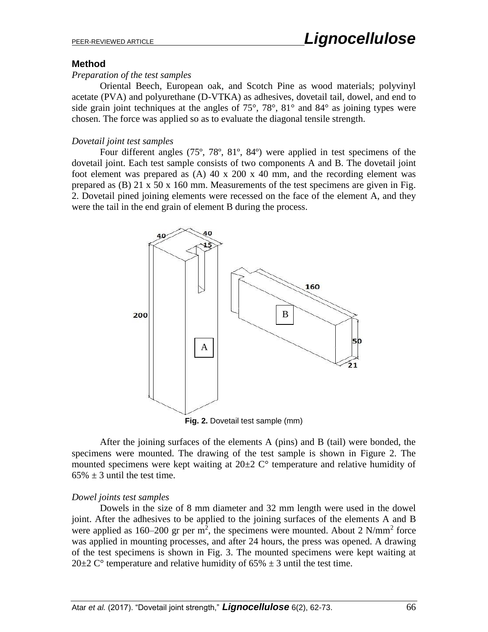## **Method**

#### *Preparation of the test samples*

Oriental Beech, European oak, and Scotch Pine as wood materials; polyvinyl acetate (PVA) and polyurethane (D-VTKA) as adhesives, dovetail tail, dowel, and end to side grain joint techniques at the angles of  $75^{\circ}$ ,  $78^{\circ}$ ,  $81^{\circ}$  and  $84^{\circ}$  as joining types were chosen. The force was applied so as to evaluate the diagonal tensile strength.

# *Dovetail joint test samples*

Four different angles (75º, 78º, 81º, 84º) were applied in test specimens of the dovetail joint. Each test sample consists of two components A and B. The dovetail joint foot element was prepared as (A) 40 x 200 x 40 mm, and the recording element was prepared as (B) 21 x 50 x 160 mm. Measurements of the test specimens are given in Fig. 2. Dovetail pined joining elements were recessed on the face of the element A, and they were the tail in the end grain of element B during the process.



**Fig. 2.** Dovetail test sample (mm)

After the joining surfaces of the elements A (pins) and B (tail) were bonded, the specimens were mounted. The drawing of the test sample is shown in Figure 2. The mounted specimens were kept waiting at 20±2 C° temperature and relative humidity of  $65\% \pm 3$  until the test time.

## *Dowel joints test samples*

Dowels in the size of 8 mm diameter and 32 mm length were used in the dowel joint. After the adhesives to be applied to the joining surfaces of the elements A and B were applied as  $160-200$  gr per m<sup>2</sup>, the specimens were mounted. About 2 N/mm<sup>2</sup> force was applied in mounting processes, and after 24 hours, the press was opened. A drawing of the test specimens is shown in Fig. 3. The mounted specimens were kept waiting at 20 $\pm$ 2 C<sup>o</sup> temperature and relative humidity of 65%  $\pm$  3 until the test time.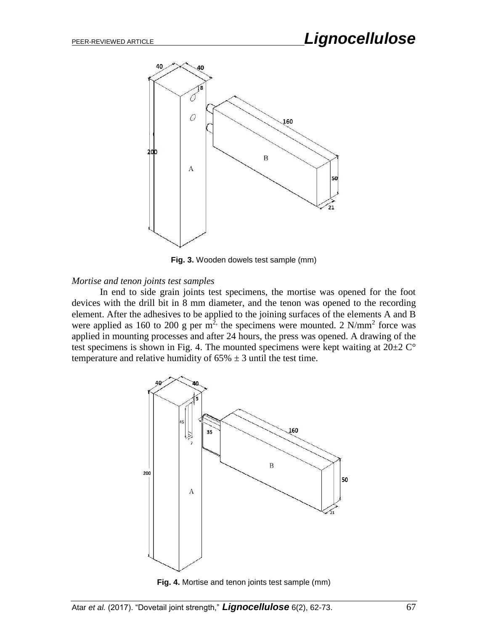

**Fig. 3.** Wooden dowels test sample (mm)

#### *Mortise and tenon joints test samples*

In end to side grain joints test specimens, the mortise was opened for the foot devices with the drill bit in 8 mm diameter, and the tenon was opened to the recording element. After the adhesives to be applied to the joining surfaces of the elements A and B were applied as 160 to 200 g per  $m^2$ , the specimens were mounted. 2 N/mm<sup>2</sup> force was applied in mounting processes and after 24 hours, the press was opened. A drawing of the test specimens is shown in Fig. 4. The mounted specimens were kept waiting at  $20\pm2$  C° temperature and relative humidity of  $65\% \pm 3$  until the test time.



**Fig. 4.** Mortise and tenon joints test sample (mm)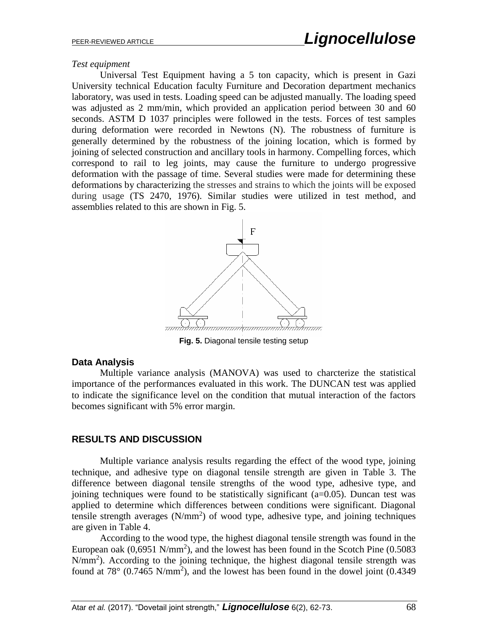#### *Test equipment*

Universal Test Equipment having a 5 ton capacity, which is present in Gazi University technical Education faculty Furniture and Decoration department mechanics laboratory, was used in tests. Loading speed can be adjusted manually. The loading speed was adjusted as 2 mm/min, which provided an application period between 30 and 60 seconds. ASTM D 1037 principles were followed in the tests. Forces of test samples during deformation were recorded in Newtons (N). The robustness of furniture is generally determined by the robustness of the joining location, which is formed by joining of selected construction and ancillary tools in harmony. Compelling forces, which correspond to rail to leg joints, may cause the furniture to undergo progressive deformation with the passage of time. Several studies were made for determining these deformations by characterizing the stresses and strains to which the joints will be exposed during usage (TS 2470, 1976). Similar studies were utilized in test method, and assemblies related to this are shown in Fig. 5.



**Fig. 5.** Diagonal tensile testing setup

## **Data Analysis**

Multiple variance analysis (MANOVA) was used to charcterize the statistical importance of the performances evaluated in this work. The DUNCAN test was applied to indicate the significance level on the condition that mutual interaction of the factors becomes significant with 5% error margin.

# **RESULTS AND DISCUSSION**

Multiple variance analysis results regarding the effect of the wood type, joining technique, and adhesive type on diagonal tensile strength are given in Table 3. The difference between diagonal tensile strengths of the wood type, adhesive type, and joining techniques were found to be statistically significant (a=0.05). Duncan test was applied to determine which differences between conditions were significant. Diagonal tensile strength averages  $(N/mm<sup>2</sup>)$  of wood type, adhesive type, and joining techniques are given in Table 4.

According to the wood type, the highest diagonal tensile strength was found in the European oak  $(0.6951 \text{ N/mm}^2)$ , and the lowest has been found in the Scotch Pine  $(0.5083$ N/mm<sup>2</sup>). According to the joining technique, the highest diagonal tensile strength was found at 78 $^{\circ}$  (0.7465 N/mm<sup>2</sup>), and the lowest has been found in the dowel joint (0.4349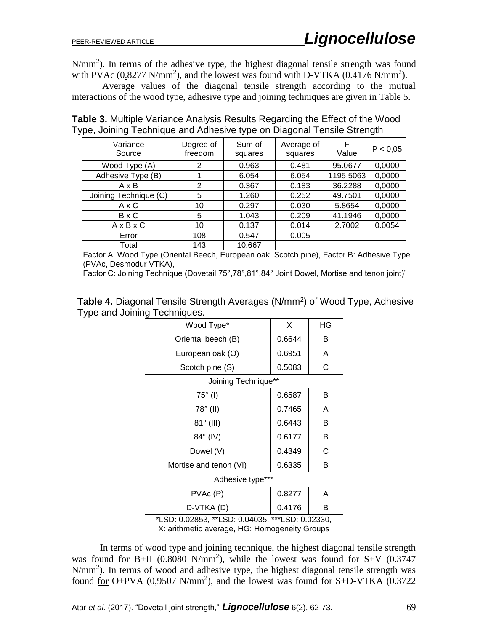N/mm<sup>2</sup>). In terms of the adhesive type, the highest diagonal tensile strength was found with PVAc  $(0.8277 \text{ N/mm}^2)$ , and the lowest was found with D-VTKA  $(0.4176 \text{ N/mm}^2)$ .

Average values of the diagonal tensile strength according to the mutual interactions of the wood type, adhesive type and joining techniques are given in Table 5.

**Table 3.** Multiple Variance Analysis Results Regarding the Effect of the Wood Type, Joining Technique and Adhesive type on Diagonal Tensile Strength

| Variance<br>Source    | Degree of<br>freedom | Sum of<br>squares | Average of<br>squares | F<br>Value | P < 0.05 |
|-----------------------|----------------------|-------------------|-----------------------|------------|----------|
| Wood Type (A)         | 2                    | 0.963             | 0.481                 | 95.0677    | 0,0000   |
| Adhesive Type (B)     |                      | 6.054             | 6.054                 | 1195.5063  | 0,0000   |
| AxB                   | $\overline{2}$       | 0.367             | 0.183                 | 36.2288    | 0,0000   |
| Joining Technique (C) | 5                    | 1.260             | 0.252                 | 49.7501    | 0,0000   |
| AxC                   | 10                   | 0.297             | 0.030                 | 5.8654     | 0,0000   |
| BxC                   | 5                    | 1.043             | 0.209                 | 41.1946    | 0,0000   |
| $A \times B \times C$ | 10                   | 0.137             | 0.014                 | 2.7002     | 0.0054   |
| Error                 | 108                  | 0.547             | 0.005                 |            |          |
| Total                 | 143                  | 10.667            |                       |            |          |

Factor A: Wood Type (Oriental Beech, European oak, Scotch pine), Factor B: Adhesive Type (PVAc, Desmodur VTKA),

Factor C: Joining Technique (Dovetail 75°,78°,81°,84° Joint Dowel, Mortise and tenon joint)"

Table 4. Diagonal Tensile Strength Averages (N/mm<sup>2</sup>) of Wood Type, Adhesive Type and Joining Techniques.

| Wood Type*             | X      | ΗG |  |
|------------------------|--------|----|--|
| Oriental beech (B)     | 0.6644 | в  |  |
| European oak (O)       | 0.6951 | A  |  |
| Scotch pine (S)        | 0.5083 | С  |  |
| Joining Technique**    |        |    |  |
| $75^\circ$ (I)         | 0.6587 | в  |  |
| 78° (II)               | 0.7465 | A  |  |
| 81° (III)              | 0.6443 | Β  |  |
| 84° (IV)               | 0.6177 | B  |  |
| Dowel (V)              | 0.4349 | С  |  |
| Mortise and tenon (VI) | 0.6335 | в  |  |
| Adhesive type***       |        |    |  |
| PVAc (P)               | 0.8277 | A  |  |
| D-VTKA (D)             | 0.4176 | в  |  |

\*LSD: 0.02853, \*\*LSD: 0.04035, \*\*\*LSD: 0.02330, X: arithmetic average, HG: Homogeneity Groups

In terms of wood type and joining technique, the highest diagonal tensile strength was found for B+II (0.8080 N/mm<sup>2</sup>), while the lowest was found for S+V (0.3747 N/mm<sup>2</sup>). In terms of wood and adhesive type, the highest diagonal tensile strength was found  $\underline{for}$  O+PVA (0,9507 N/mm<sup>2</sup>), and the lowest was found for S+D-VTKA (0.3722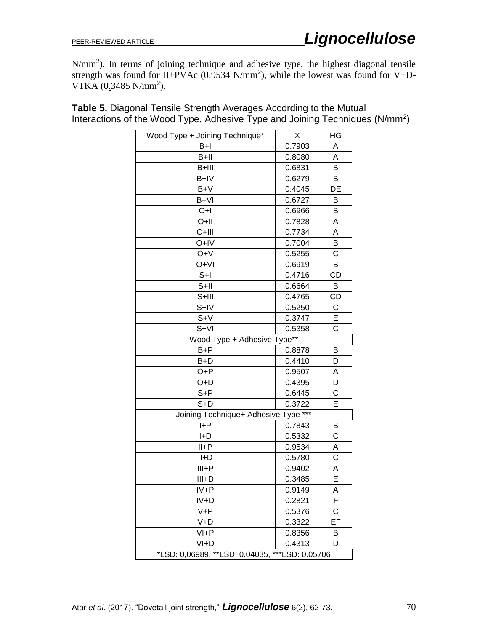N/mm<sup>2</sup>). In terms of joining technique and adhesive type, the highest diagonal tensile strength was found for II+PVAc  $(0.9534 \text{ N/mm}^2)$ , while the lowest was found for V+D-VTKA  $(0.3485 \text{ N/mm}^2)$ .

| Wood Type + Joining Technique*                 | Χ      | ΗG             |
|------------------------------------------------|--------|----------------|
| $B+I$                                          | 0.7903 | Α              |
| $B+II$                                         | 0.8080 | Α              |
| B+III                                          | 0.6831 | B              |
| B+IV                                           | 0.6279 | B              |
| B+V                                            | 0.4045 | DE             |
| $B+VI$                                         | 0.6727 | В              |
| O+l                                            | 0.6966 | В              |
| O+II                                           | 0.7828 | A              |
| O+III                                          | 0.7734 | A              |
| O+IV                                           | 0.7004 | В              |
| O+V                                            | 0.5255 | C              |
| O+VI                                           | 0.6919 | В              |
| $S+I$                                          | 0.4716 | <b>CD</b>      |
| $S+II$                                         | 0.6664 | В              |
| $S+III$                                        | 0.4765 | CD             |
| S+IV                                           | 0.5250 | C              |
| $S+V$                                          | 0.3747 | E              |
| $S+VI$                                         | 0.5358 | $\overline{C}$ |
| Wood Type + Adhesive Type**                    |        |                |
| $B + P$                                        | 0.8878 | В              |
| $B+D$                                          | 0.4410 | D              |
| $O + P$                                        | 0.9507 | A              |
| $O+D$                                          | 0.4395 | D              |
| $S + P$                                        | 0.6445 | C              |
| $S+D$                                          | 0.3722 | E              |
| Joining Technique+ Adhesive Type ***           |        |                |
| $H + P$                                        | 0.7843 | B              |
| $H-D$                                          | 0.5332 | C              |
| $II + P$                                       | 0.9534 | Α              |
| II+D                                           | 0.5780 | C              |
| $III + P$                                      | 0.9402 | А              |
| $III+D$                                        | 0.3485 | E              |
| $IV + P$                                       | 0.9149 | Α              |
| IV+D                                           | 0.2821 | F              |
| $V + P$                                        | 0.5376 | С              |
| $V+D$                                          | 0.3322 | EF             |
| $VI + P$                                       | 0.8356 | B              |
| $VI+D$                                         | 0.4313 | D              |
| *LSD: 0,06989, **LSD: 0.04035, ***LSD: 0.05706 |        |                |

**Table 5.** Diagonal Tensile Strength Averages According to the Mutual Interactions of the Wood Type, Adhesive Type and Joining Techniques (N/mm<sup>2</sup>)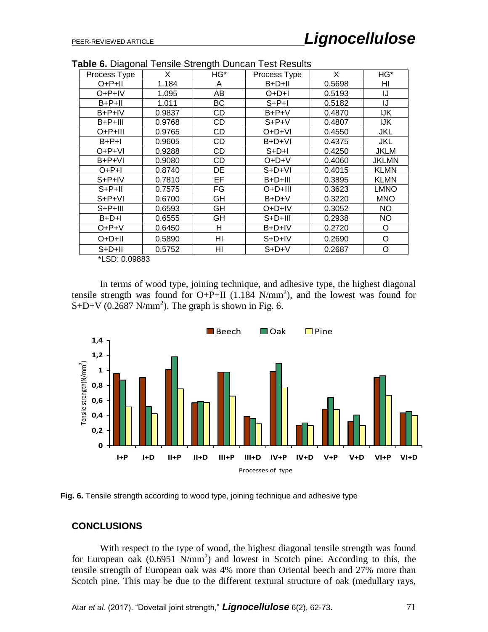| Process Type                 | X      | - <del>. .</del><br>HG* | Process Type | X      | HG*          |
|------------------------------|--------|-------------------------|--------------|--------|--------------|
| O+P+II                       | 1.184  | A                       | $B+D+II$     | 0.5698 | HI           |
| O+P+IV                       | 1.095  | AB                      | $O+D+I$      | 0.5193 | IJ           |
| $B+P+II$                     | 1.011  | BС                      | $S+P+I$      | 0.5182 | IJ           |
| $B + P + IV$                 | 0.9837 | CD                      | $B+P+V$      | 0.4870 | <b>IJK</b>   |
| $B + P + III$                | 0.9768 | CD                      | $S+P+V$      | 0.4807 | IJK          |
| $O+P+III$                    | 0.9765 | CD                      | $O+D+VI$     | 0.4550 | JKL          |
| $B+P+I$                      | 0.9605 | CD                      | B+D+VI       | 0.4375 | JKL          |
| O+P+VI                       | 0.9288 | CD                      | $S+D+I$      | 0.4250 | <b>JKLM</b>  |
| $B + P + VI$                 | 0.9080 | CD                      | $O+D+V$      | 0.4060 | <b>JKLMN</b> |
| $O+P+I$                      | 0.8740 | DE                      | S+D+VI       | 0.4015 | <b>KLMN</b>  |
| $S+P+IV$                     | 0.7810 | EF                      | $B+D+III$    | 0.3895 | <b>KLMN</b>  |
| $S+P+II$                     | 0.7575 | FG                      | O+D+III      | 0.3623 | <b>LMNO</b>  |
| $S+P+VI$                     | 0.6700 | GH                      | $B+D+V$      | 0.3220 | <b>MNO</b>   |
| $S+P+III$                    | 0.6593 | GH                      | O+D+IV       | 0.3052 | NO.          |
| $B+D+I$                      | 0.6555 | GH                      | $S+D+III$    | 0.2938 | <b>NO</b>    |
| $O+P+V$                      | 0.6450 | н                       | B+D+IV       | 0.2720 | O            |
| O+D+II                       | 0.5890 | HI                      | S+D+IV       | 0.2690 | O            |
| $S+D+II$<br>$*$ LOD. A AAAAA | 0.5752 | HI                      | $S+D+V$      | 0.2687 | O            |

**Table 6.** Diagonal Tensile Strength Duncan Test Results

\*LSD: 0.09883

In terms of wood type, joining technique, and adhesive type, the highest diagonal tensile strength was found for  $O+P+II$  (1.184 N/mm<sup>2</sup>), and the lowest was found for  $S+D+V$  (0.2687 N/mm<sup>2</sup>). The graph is shown in Fig. 6.



**Fig. 6.** Tensile strength according to wood type, joining technique and adhesive type

## **CONCLUSIONS**

With respect to the type of wood, the highest diagonal tensile strength was found for European oak  $(0.6951 \text{ N/mm}^2)$  and lowest in Scotch pine. According to this, the tensile strength of European oak was 4% more than Oriental beech and 27% more than Scotch pine. This may be due to the different textural structure of oak (medullary rays,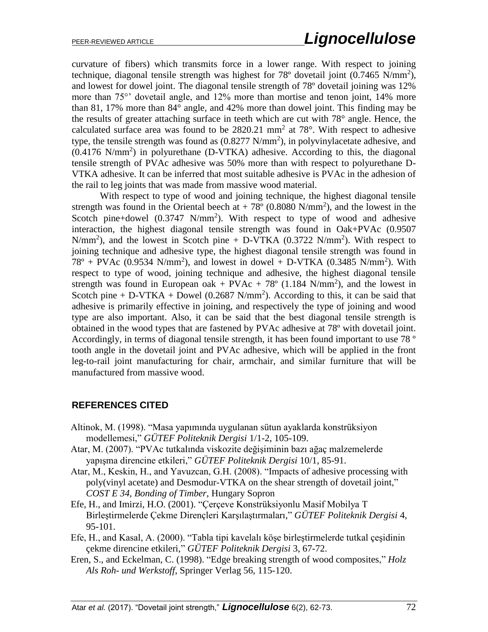curvature of fibers) which transmits force in a lower range. With respect to joining technique, diagonal tensile strength was highest for  $78^{\circ}$  dovetail joint (0.7465 N/mm<sup>2</sup>), and lowest for dowel joint. The diagonal tensile strength of 78º dovetail joining was 12% more than 75°' dovetail angle, and 12% more than mortise and tenon joint, 14% more than 81, 17% more than 84° angle, and 42% more than dowel joint. This finding may be the results of greater attaching surface in teeth which are cut with 78° angle. Hence, the calculated surface area was found to be  $2820.21 \text{ mm}^2$  at  $78^{\circ}$ . With respect to adhesive type, the tensile strength was found as  $(0.8277 \text{ N/mm}^2)$ , in polyvinylacetate adhesive, and (0.4176 N/mm<sup>2</sup> ) in polyurethane (D-VTKA) adhesive. According to this, the diagonal tensile strength of PVAc adhesive was 50% more than with respect to polyurethane D-VTKA adhesive. It can be inferred that most suitable adhesive is PVAc in the adhesion of the rail to leg joints that was made from massive wood material.

With respect to type of wood and joining technique, the highest diagonal tensile strength was found in the Oriental beech at  $+78^{\circ}$  (0.8080 N/mm<sup>2</sup>), and the lowest in the Scotch pine+dowel  $(0.3747 \text{ N/mm}^2)$ . With respect to type of wood and adhesive interaction, the highest diagonal tensile strength was found in Oak+PVAc (0.9507  $N/mm<sup>2</sup>$ ), and the lowest in Scotch pine + D-VTKA (0.3722  $N/mm<sup>2</sup>$ ). With respect to joining technique and adhesive type, the highest diagonal tensile strength was found in  $78^{\circ}$  + PVAc (0.9534 N/mm<sup>2</sup>), and lowest in dowel + D-VTKA (0.3485 N/mm<sup>2</sup>). With respect to type of wood, joining technique and adhesive, the highest diagonal tensile strength was found in European oak + PVAc + 78 $^{\circ}$  (1.184 N/mm<sup>2</sup>), and the lowest in Scotch pine + D-VTKA + Dowel (0.2687 N/mm<sup>2</sup>). According to this, it can be said that adhesive is primarily effective in joining, and respectively the type of joining and wood type are also important. Also, it can be said that the best diagonal tensile strength is obtained in the wood types that are fastened by PVAc adhesive at 78º with dovetail joint. Accordingly, in terms of diagonal tensile strength, it has been found important to use 78<sup>°</sup> tooth angle in the dovetail joint and PVAc adhesive, which will be applied in the front leg-to-rail joint manufacturing for chair, armchair, and similar furniture that will be manufactured from massive wood.

# **REFERENCES CITED**

- Altinok, M. (1998). "Masa yapımında uygulanan sütun ayaklarda konstrüksiyon modellemesi," *GÜTEF Politeknik Dergisi* 1/1-2, 105-109.
- Atar, M. (2007). "PVAc tutkalında viskozite değişiminin bazı ağaç malzemelerde yapışma direncine etkileri," *GÜTEF Politeknik Dergisi* 10/1, 85-91.
- Atar, M., Keskin, H., and Yavuzcan, G.H. (2008). "Impacts of adhesive processing with poly(vinyl acetate) and Desmodur-VTKA on the shear strength of dovetail joint," *COST E 34, Bonding of Timber*, Hungary Sopron
- Efe, H., and Imirzi, H.O. (2001). "Çerçeve Konstrüksiyonlu Masif Mobilya T Birleştirmelerde Çekme Dirençleri Karşılaştırmaları," *GÜTEF Politeknik Dergisi* 4, 95-101.
- Efe, H., and Kasal, A. (2000). "Tabla tipi kavelalı köşe birleştirmelerde tutkal çeşidinin çekme direncine etkileri," *GÜTEF Politeknik Dergisi* 3, 67-72.
- Eren, S., and Eckelman, C. (1998). "Edge breaking strength of wood composites," *Holz Als Roh- und Werkstoff*, Springer Verlag 56, 115-120.